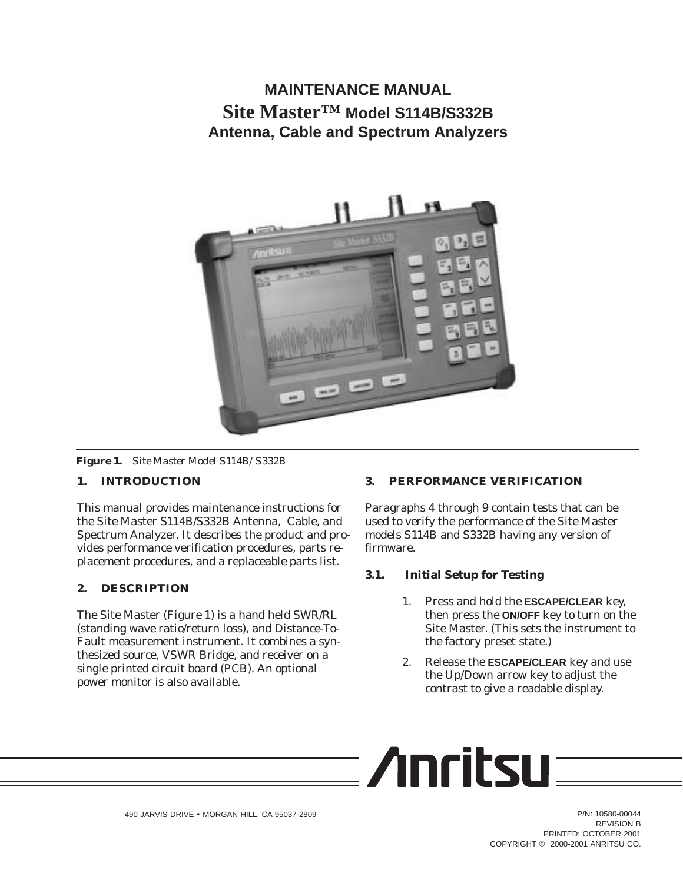# **MAINTENANCE MANUAL Site Master™ Model S114B/S332B Antenna, Cable and Spectrum Analyzers**



*Figure 1. Site Master Model S114B/S332B*

## **1. INTRODUCTION**

This manual provides maintenance instructions for the Site Master S114B/S332B Antenna, Cable, and Spectrum Analyzer. It describes the product and provides performance verification procedures, parts replacement procedures, and a replaceable parts list.

## **2. DESCRIPTION**

The Site Master (Figure 1) is a hand held SWR/RL (standing wave ratio/return loss), and Distance-To-Fault measurement instrument. It combines a synthesized source, VSWR Bridge, and receiver on a single printed circuit board (PCB). An optional power monitor is also available.

## **3. PERFORMANCE VERIFICATION**

Paragraphs 4 through 9 contain tests that can be used to verify the performance of the Site Master models S114B and S332B having any version of firmware.

## **3.1. Initial Setup for Testing**

- 1. Press and hold the **ESCAPE/CLEAR** key, then press the **ON/OFF** key to turn on the Site Master. (This sets the instrument to the factory preset state.)
- 2. Release the **ESCAPE/CLEAR** key and use the Up/Down arrow key to adjust the contrast to give a readable display.

$$
\equiv \textbf{Anritsu} \equiv \textbf{
$$

REVISION B PRINTED: OCTOBER 2001 COPYRIGHT © 2000-2001 ANRITSU CO.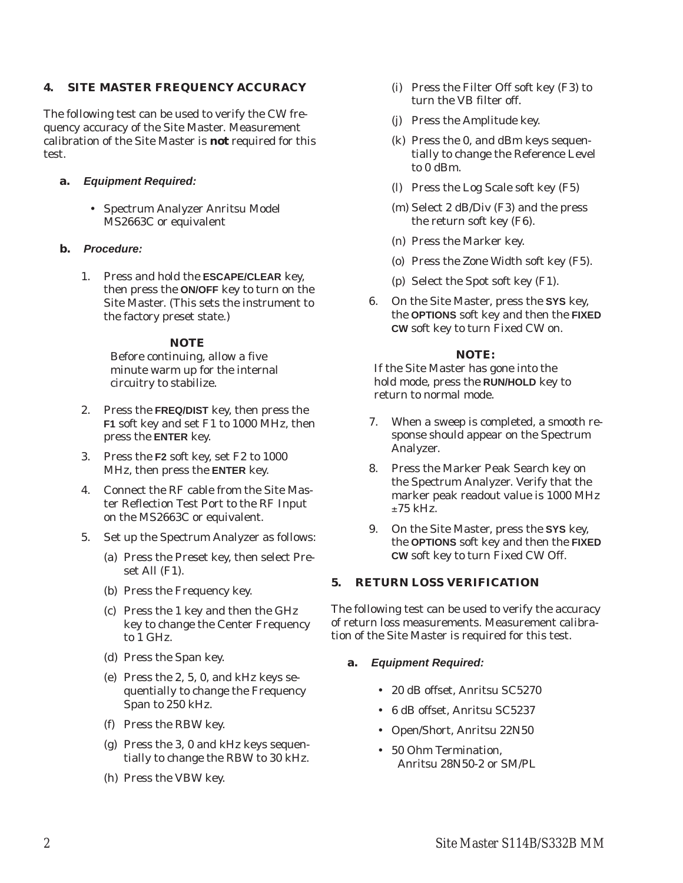## **4. SITE MASTER FREQUENCY ACCURACY**

The following test can be used to verify the CW frequency accuracy of the Site Master. Measurement calibration of the Site Master is *not* required for this test.

- **a. Equipment Required:**
	- Spectrum Analyzer Anritsu Model MS2663C or equivalent
- **b. Procedure:**
	- 1. Press and hold the **ESCAPE/CLEAR** key, then press the **ON/OFF** key to turn on the Site Master. (This sets the instrument to the factory preset state.)

## *NOTE*

Before continuing, allow a five minute warm up for the internal circuitry to stabilize.

- 2. Press the **FREQ/DIST** key, then press the **F1** soft key and set F1 to 1000 MHz, then press the **ENTER** key.
- 3. Press the **F2** soft key, set F2 to 1000 MHz, then press the **ENTER** key.
- 4. Connect the RF cable from the Site Master Reflection Test Port to the RF Input on the MS2663C or equivalent.
- 5. Set up the Spectrum Analyzer as follows:
	- (a) Press the Preset key, then select Preset All (F1).
	- (b) Press the Frequency key.
	- (c) Press the 1 key and then the GHz key to change the Center Frequency to 1 GHz.
	- (d) Press the Span key.
	- (e) Press the 2, 5, 0, and kHz keys sequentially to change the Frequency Span to 250 kHz.
	- (f) Press the RBW key.
	- (g) Press the 3, 0 and kHz keys sequentially to change the RBW to 30 kHz.
	- (h) Press the VBW key.
- (i) Press the Filter Off soft key (F3) to turn the VB filter off.
- (j) Press the Amplitude key.
- (k) Press the 0, and dBm keys sequentially to change the Reference Level to 0 dBm.
- (l) Press the Log Scale soft key (F5)
- (m) Select 2 dB/Div (F3) and the press the return soft key (F6).
- (n) Press the Marker key.
- (o) Press the Zone Width soft key (F5).
- (p) Select the Spot soft key (F1).
- 6. On the Site Master, press the **SYS** key, the **OPTIONS** soft key and then the **FIXED CW** soft key to turn Fixed CW on.

## *NOTE:*

If the Site Master has gone into the hold mode, press the **RUN/HOLD** key to return to normal mode.

- 7. When a sweep is completed, a smooth response should appear on the Spectrum Analyzer.
- 8. Press the Marker Peak Search key on the Spectrum Analyzer. Verify that the marker peak readout value is 1000 MHz  $±75$  kHz.
- 9. On the Site Master, press the **SYS** key, the **OPTIONS** soft key and then the **FIXED CW** soft key to turn Fixed CW Off.

## **5. RETURN LOSS VERIFICATION**

The following test can be used to verify the accuracy of return loss measurements. Measurement calibration of the Site Master is required for this test.

## **a. Equipment Required:**

- 20 dB offset, Anritsu SC5270
- 6 dB offset, Anritsu SC5237
- Open/Short, Anritsu 22N50
- 50 Ohm Termination, Anritsu 28N50-2 or SM/PL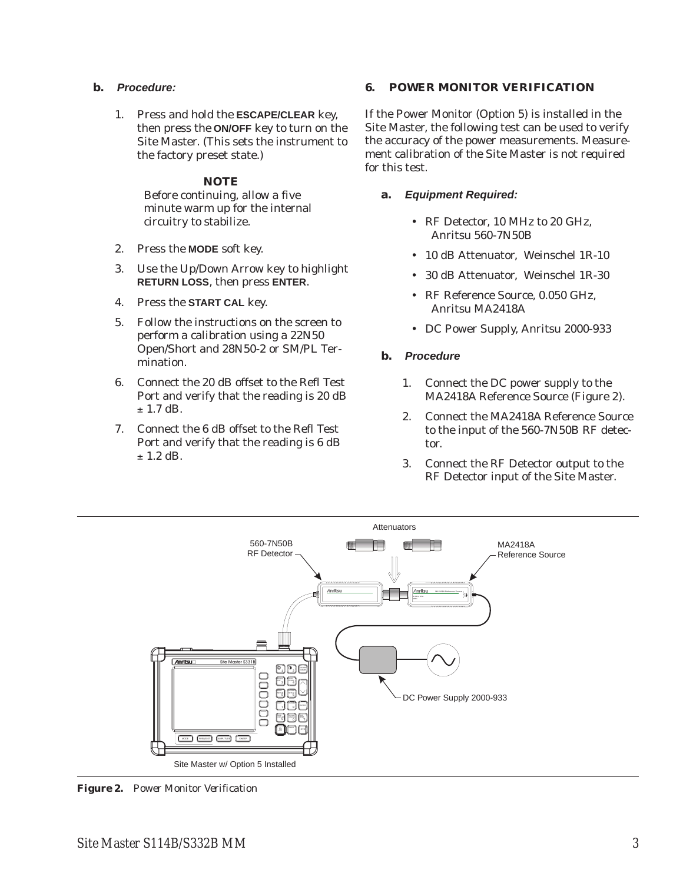- **b. Procedure:**
	- 1. Press and hold the **ESCAPE/CLEAR** key, then press the **ON/OFF** key to turn on the Site Master. (This sets the instrument to the factory preset state.)

### *NOTE*

Before continuing, allow a five minute warm up for the internal circuitry to stabilize.

- 2. Press the **MODE** soft key.
- 3. Use the Up/Down Arrow key to highlight **RETURN LOSS**, then press **ENTER**.
- 4. Press the **START CAL** key.
- 5. Follow the instructions on the screen to perform a calibration using a 22N50 Open/Short and 28N50-2 or SM/PL Termination.
- 6. Connect the 20 dB offset to the Refl Test Port and verify that the reading is 20 dB  $\pm$  1.7 dB.
- 7. Connect the 6 dB offset to the Refl Test Port and verify that the reading is 6 dB  $\pm$  1.2 dB.

## **6. POWER MONITOR VERIFICATION**

If the Power Monitor (Option 5) is installed in the Site Master, the following test can be used to verify the accuracy of the power measurements. Measurement calibration of the Site Master is not required for this test.

## **a. Equipment Required:**

- RF Detector, 10 MHz to 20 GHz, Anritsu 560-7N50B
- 10 dB Attenuator, Weinschel 1R-10
- 30 dB Attenuator, Weinschel 1R-30
- RF Reference Source, 0.050 GHz, Anritsu MA2418A
- DC Power Supply, Anritsu 2000-933

## **b. Procedure**

- 1. Connect the DC power supply to the MA2418A Reference Source (Figure 2).
- 2. Connect the MA2418A Reference Source to the input of the 560-7N50B RF detector.
- 3. Connect the RF Detector output to the RF Detector input of the Site Master.



*Figure 2. Power Monitor Verification*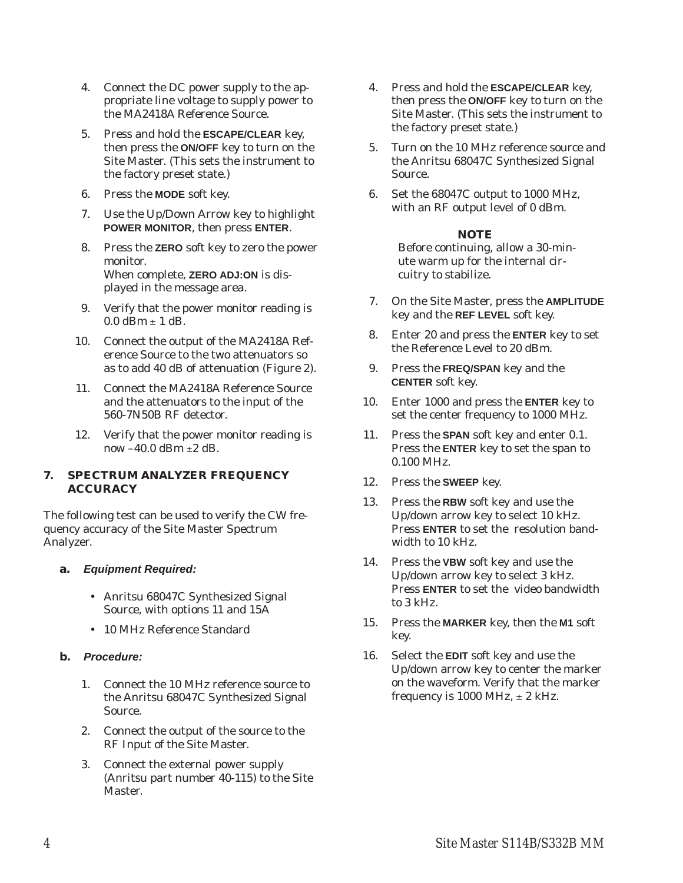- 4. Connect the DC power supply to the appropriate line voltage to supply power to the MA2418A Reference Source.
- 5. Press and hold the **ESCAPE/CLEAR** key, then press the **ON/OFF** key to turn on the Site Master. (This sets the instrument to the factory preset state.)
- 6. Press the **MODE** soft key.
- 7. Use the Up/Down Arrow key to highlight **POWER MONITOR**, then press **ENTER**.
- 8. Press the **ZERO** soft key to zero the power monitor. When complete, **ZERO ADJ:ON** is displayed in the message area.
- 9. Verify that the power monitor reading is  $0.0$  dBm  $\pm$  1 dB.
- 10. Connect the output of the MA2418A Reference Source to the two attenuators so as to add 40 dB of attenuation (Figure 2).
- 11. Connect the MA2418A Reference Source and the attenuators to the input of the 560-7N50B RF detector.
- 12. Verify that the power monitor reading is now  $-40.0$  dBm  $\pm 2$  dB.

## **7. SPECTRUM ANALYZER FREQUENCY ACCURACY**

The following test can be used to verify the CW frequency accuracy of the Site Master Spectrum Analyzer.

- **a. Equipment Required:**
	- Anritsu 68047C Synthesized Signal Source, with options 11 and 15A
	- 10 MHz Reference Standard

## **b. Procedure:**

- 1. Connect the 10 MHz reference source to the Anritsu 68047C Synthesized Signal Source.
- 2. Connect the output of the source to the RF Input of the Site Master.
- 3. Connect the external power supply (Anritsu part number 40-115) to the Site Master.
- 4. Press and hold the **ESCAPE/CLEAR** key, then press the **ON/OFF** key to turn on the Site Master. (This sets the instrument to the factory preset state.)
- 5. Turn on the 10 MHz reference source and the Anritsu 68047C Synthesized Signal Source.
- 6. Set the 68047C output to 1000 MHz, with an RF output level of 0 dBm.

## *NOTE*

Before continuing, allow a 30-minute warm up for the internal circuitry to stabilize.

- 7. On the Site Master, press the **AMPLITUDE** key and the **REF LEVEL** soft key.
- 8. Enter 20 and press the **ENTER** key to set the Reference Level to 20 dBm.
- 9. Press the **FREQ/SPAN** key and the **CENTER** soft key.
- 10. Enter 1000 and press the **ENTER** key to set the center frequency to 1000 MHz.
- 11. Press the **SPAN** soft key and enter 0.1. Press the **ENTER** key to set the span to 0.100 MHz.
- 12. Press the **SWEEP** key.
- 13. Press the **RBW** soft key and use the Up/down arrow key to select 10 kHz. Press **ENTER** to set the resolution bandwidth to 10 kHz.
- 14. Press the **VBW** soft key and use the Up/down arrow key to select 3 kHz. Press **ENTER** to set the video bandwidth to 3 kHz.
- 15. Press the **MARKER** key, then the **M1** soft key.
- 16. Select the **EDIT** soft key and use the Up/down arrow key to center the marker on the waveform. Verify that the marker frequency is 1000 MHz,  $\pm$  2 kHz.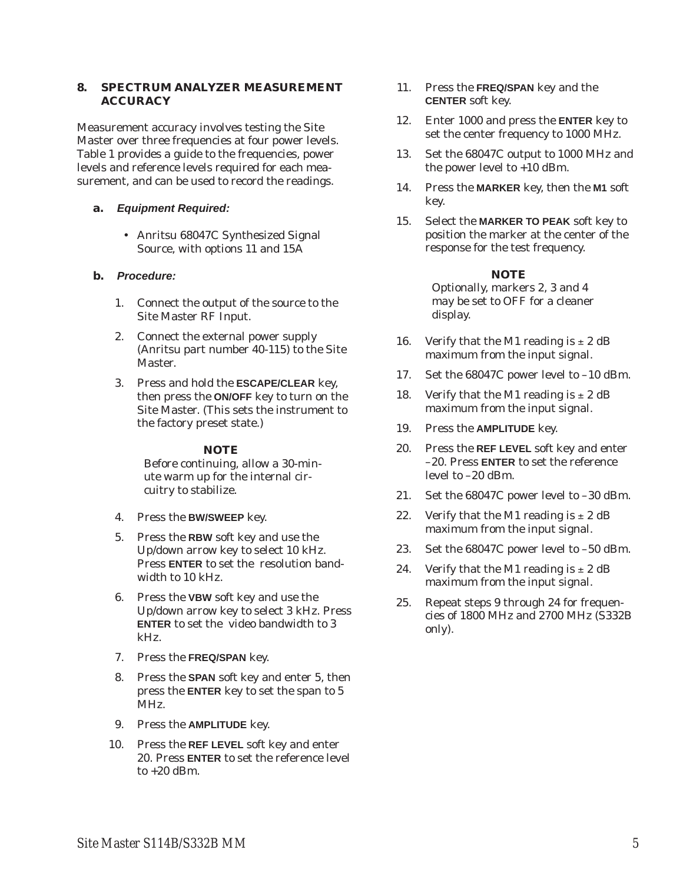## **8. SPECTRUM ANALYZER MEASUREMENT ACCURACY**

Measurement accuracy involves testing the Site Master over three frequencies at four power levels. Table 1 provides a guide to the frequencies, power levels and reference levels required for each measurement, and can be used to record the readings.

## **a. Equipment Required:**

• Anritsu 68047C Synthesized Signal Source, with options 11 and 15A

## **b. Procedure:**

- 1. Connect the output of the source to the Site Master RF Input.
- 2. Connect the external power supply (Anritsu part number 40-115) to the Site Master.
- 3. Press and hold the **ESCAPE/CLEAR** key, then press the **ON/OFF** key to turn on the Site Master. (This sets the instrument to the factory preset state.)

## *NOTE*

Before continuing, allow a 30-minute warm up for the internal circuitry to stabilize.

- 4. Press the **BW/SWEEP** key.
- 5. Press the **RBW** soft key and use the Up/down arrow key to select 10 kHz. Press **ENTER** to set the resolution bandwidth to 10 kHz.
- 6. Press the **VBW** soft key and use the Up/down arrow key to select 3 kHz. Press **ENTER** to set the video bandwidth to 3 kHz.
- 7. Press the **FREQ/SPAN** key.
- 8. Press the **SPAN** soft key and enter 5, then press the **ENTER** key to set the span to 5 MHz.
- 9. Press the **AMPLITUDE** key.
- 10. Press the **REF LEVEL** soft key and enter 20. Press **ENTER** to set the reference level to  $+20$  dBm.
- 11. Press the **FREQ/SPAN** key and the **CENTER** soft key.
- 12. Enter 1000 and press the **ENTER** key to set the center frequency to 1000 MHz.
- 13. Set the 68047C output to 1000 MHz and the power level to +10 dBm.
- 14. Press the **MARKER** key, then the **M1** soft key.
- 15. Select the **MARKER TO PEAK** soft key to position the marker at the center of the response for the test frequency.

## *NOTE*

Optionally, markers 2, 3 and 4 may be set to OFF for a cleaner display.

- 16. Verify that the M1 reading is  $\pm 2$  dB maximum from the input signal.
- 17. Set the 68047C power level to –10 dBm.
- 18. Verify that the M1 reading is  $\pm 2$  dB maximum from the input signal.
- 19. Press the **AMPLITUDE** key.
- 20. Press the **REF LEVEL** soft key and enter –20. Press **ENTER** to set the reference level to –20 dBm.
- 21. Set the 68047C power level to –30 dBm.
- 22. Verify that the M1 reading is  $\pm 2$  dB maximum from the input signal.
- 23. Set the 68047C power level to –50 dBm.
- 24. Verify that the M1 reading is  $\pm 2$  dB maximum from the input signal.
- 25. Repeat steps 9 through 24 for frequencies of 1800 MHz and 2700 MHz (S332B only).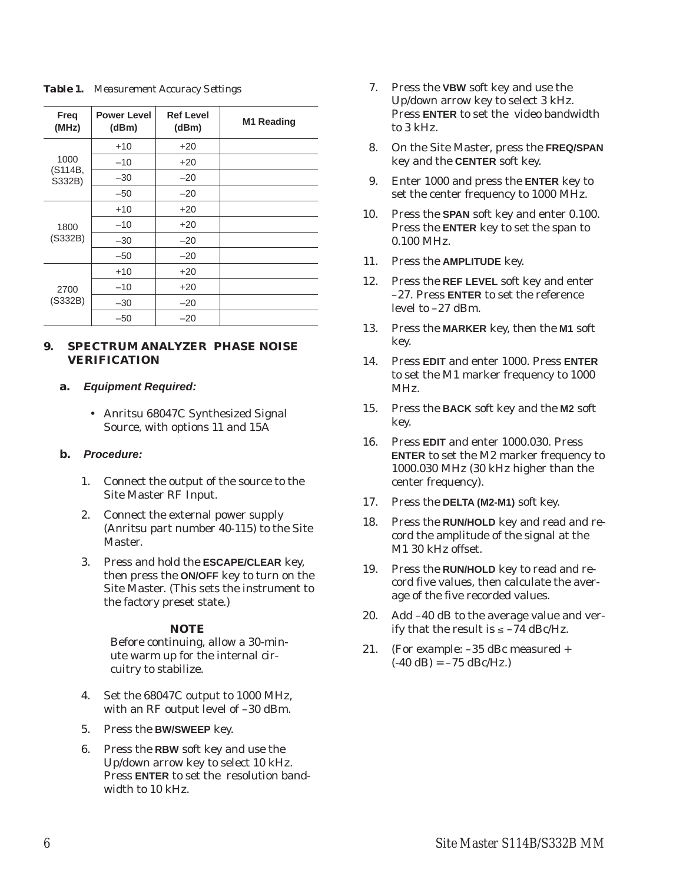| Freq<br>(MHz)             | <b>Power Level</b><br>(dBm) | <b>Ref Level</b><br>(dBm) | M1 Reading |
|---------------------------|-----------------------------|---------------------------|------------|
| 1000<br>(S114B,<br>S332B) | $+10$                       | $+20$                     |            |
|                           | $-10$                       | $+20$                     |            |
|                           | $-30$                       | $-20$                     |            |
|                           | $-50$                       | $-20$                     |            |
| 1800<br>(S332B)           | $+10$                       | $+20$                     |            |
|                           | $-10$                       | $+20$                     |            |
|                           | $-30$                       | $-20$                     |            |
|                           | $-50$                       | $-20$                     |            |
| 2700<br>(S332B)           | $+10$                       | $+20$                     |            |
|                           | $-10$                       | $+20$                     |            |
|                           | $-30$                       | $-20$                     |            |
|                           | $-50$                       | $-20$                     |            |

## *Table 1. Measurement Accuracy Settings*

## **9. SPECTRUM ANALYZER PHASE NOISE VERIFICATION**

## **a. Equipment Required:**

 Anritsu 68047C Synthesized Signal Source, with options 11 and 15A

## **b. Procedure:**

- 1. Connect the output of the source to the Site Master RF Input.
- 2. Connect the external power supply (Anritsu part number 40-115) to the Site Master.
- 3. Press and hold the **ESCAPE/CLEAR** key, then press the **ON/OFF** key to turn on the Site Master. (This sets the instrument to the factory preset state.)

## *NOTE*

Before continuing, allow a 30-minute warm up for the internal circuitry to stabilize.

- 4. Set the 68047C output to 1000 MHz, with an RF output level of –30 dBm.
- 5. Press the **BW/SWEEP** key.
- 6. Press the **RBW** soft key and use the Up/down arrow key to select 10 kHz. Press **ENTER** to set the resolution bandwidth to 10 kHz.
- 7. Press the **VBW** soft key and use the Up/down arrow key to select 3 kHz. Press **ENTER** to set the video bandwidth to 3 kHz.
- 8. On the Site Master, press the **FREQ/SPAN** key and the **CENTER** soft key.
- 9. Enter 1000 and press the **ENTER** key to set the center frequency to 1000 MHz.
- 10. Press the **SPAN** soft key and enter 0.100. Press the **ENTER** key to set the span to 0.100 MHz.
- 11. Press the **AMPLITUDE** key.
- 12. Press the **REF LEVEL** soft key and enter –27. Press **ENTER** to set the reference level to –27 dBm.
- 13. Press the **MARKER** key, then the **M1** soft key.
- 14. Press **EDIT** and enter 1000. Press **ENTER** to set the M1 marker frequency to 1000 MHz.
- 15. Press the **BACK** soft key and the **M2** soft key.
- 16. Press **EDIT** and enter 1000.030. Press **ENTER** to set the M2 marker frequency to 1000.030 MHz (30 kHz higher than the center frequency).
- 17. Press the **DELTA (M2-M1)** soft key.
- 18. Press the **RUN/HOLD** key and read and record the amplitude of the signal at the M1 30 kHz offset.
- 19. Press the **RUN/HOLD** key to read and record five values, then calculate the average of the five recorded values.
- 20. Add –40 dB to the average value and verify that the result is  $\leq -74$  dBc/Hz.
- 21. (For example: –35 dBc measured +  $(-40$  dB $) = -75$  dBc/Hz.)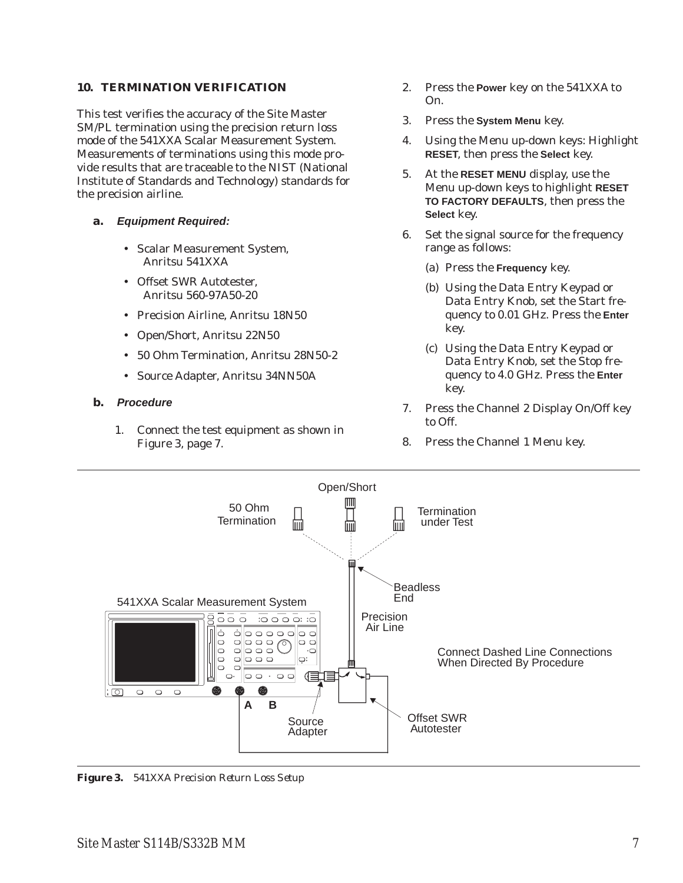## **10. TERMINATION VERIFICATION**

This test verifies the accuracy of the Site Master SM/PL termination using the precision return loss mode of the 541XXA Scalar Measurement System. Measurements of terminations using this mode provide results that are traceable to the NIST (National Institute of Standards and Technology) standards for the precision airline.

- **a. Equipment Required:**
	- Scalar Measurement System, Anritsu 541XXA
	- Offset SWR Autotester, Anritsu 560-97A50-20
	- Precision Airline, Anritsu 18N50
	- Open/Short, Anritsu 22N50
	- 50 Ohm Termination, Anritsu 28N50-2
	- Source Adapter, Anritsu 34NN50A
- **b. Procedure**
	- 1. Connect the test equipment as shown in Figure 3, page 7.
- 2. Press the **Power** key on the 541XXA to On.
- 3. Press the **System Menu** key.
- 4. Using the Menu up-down keys: Highlight **RESET**, then press the **Select** key.
- 5. At the **RESET MENU** display, use the Menu up-down keys to highlight **RESET TO FACTORY DEFAULTS**, then press the **Select** key.
- 6. Set the signal source for the frequency range as follows:
	- (a) Press the **Frequency** key.
	- (b) Using the Data Entry Keypad or Data Entry Knob, set the Start frequency to 0.01 GHz. Press the **Enter** key.
	- (c) Using the Data Entry Keypad or Data Entry Knob, set the Stop frequency to 4.0 GHz. Press the **Enter** key.
- 7. Press the Channel 2 Display On/Off key to Off.
- 8. Press the Channel 1 Menu key.



*Figure 3. 541XXA Precision Return Loss Setup*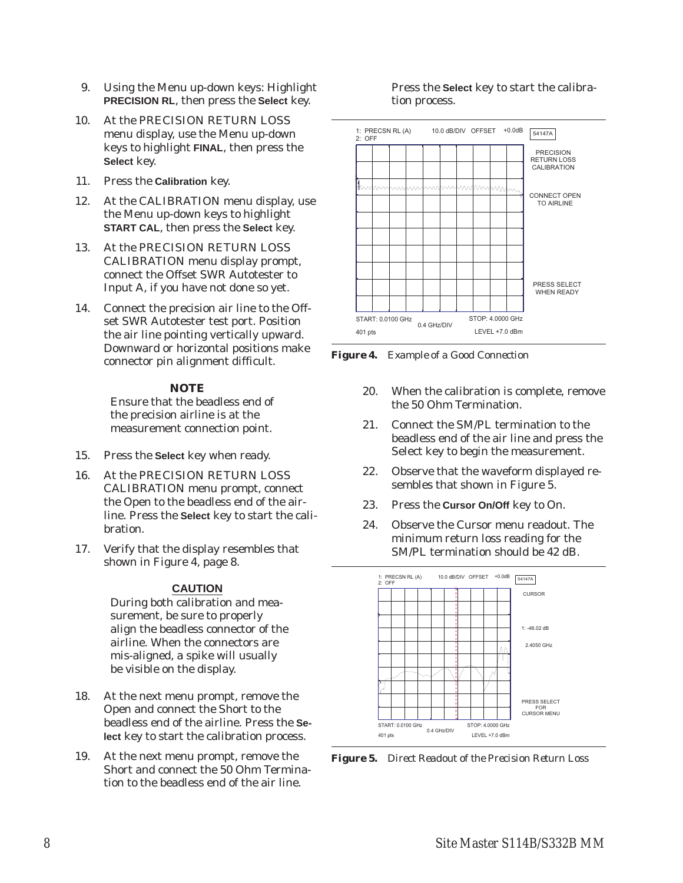- 9. Using the Menu up-down keys: Highlight **PRECISION RL**, then press the **Select** key.
- 10. At the PRECISION RETURN LOSS menu display, use the Menu up-down keys to highlight **FINAL**, then press the **Select** key.
- 11. Press the **Calibration** key.
- 12. At the CALIBRATION menu display, use the Menu up-down keys to highlight **START CAL**, then press the **Select** key.
- 13. At the PRECISION RETURN LOSS CALIBRATION menu display prompt, connect the Offset SWR Autotester to Input A, if you have not done so yet.
- 14. Connect the precision air line to the Offset SWR Autotester test port. Position the air line pointing vertically upward. Downward or horizontal positions make connector pin alignment difficult.

## *NOTE*

Ensure that the beadless end of the precision airline is at the measurement connection point.

- 15. Press the **Select** key when ready.
- 16. At the PRECISION RETURN LOSS CALIBRATION menu prompt, connect the Open to the beadless end of the airline. Press the **Select** key to start the calibration.
- 17. Verify that the display resembles that shown in Figure 4, page 8.

## **CAUTION**

During both calibration and measurement, be sure to properly align the beadless connector of the airline. When the connectors are mis-aligned, a spike will usually be visible on the display.

- 18. At the next menu prompt, remove the Open and connect the Short to the beadless end of the airline. Press the **Select** key to start the calibration process.
- 19. At the next menu prompt, remove the Short and connect the 50 Ohm Termination to the beadless end of the air line.

## Press the **Select** key to start the calibration process.



*Figure 4. Example of a Good Connection*

- 20. When the calibration is complete, remove the 50 Ohm Termination.
- 21. Connect the SM/PL termination to the beadless end of the air line and press the Select key to begin the measurement.
- 22. Observe that the waveform displayed resembles that shown in Figure 5.
- 23. Press the **Cursor On/Off** key to On.
- 24. Observe the Cursor menu readout. The minimum return loss reading for the SM/PL termination should be 42 dB.



*Figure 5. Direct Readout of the Precision Return Loss*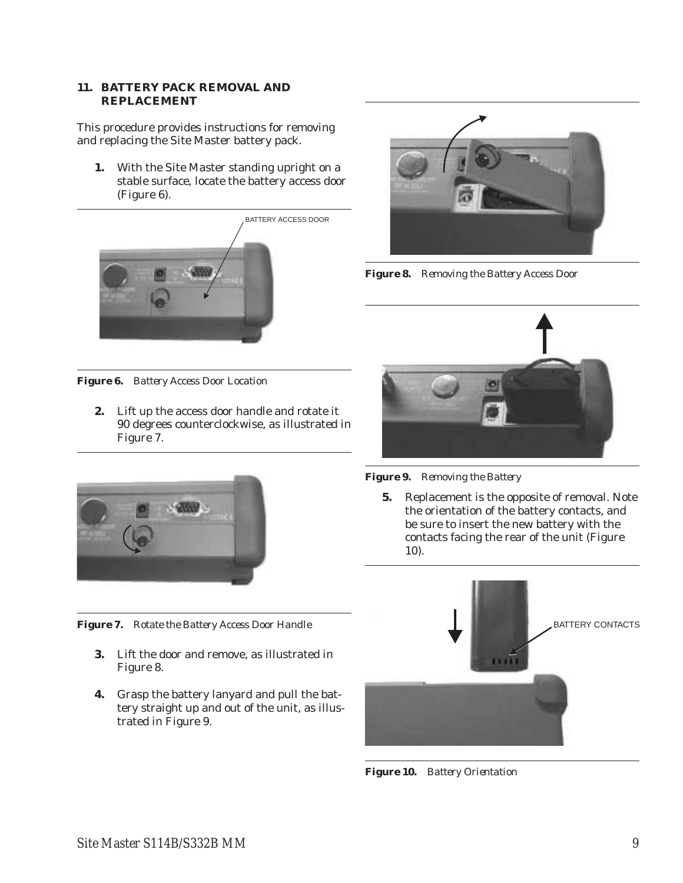## **11. BATTERY PACK REMOVAL AND REPLACEMENT**

This procedure provides instructions for removing and replacing the Site Master battery pack.

**1.** With the Site Master standing upright on a stable surface, locate the battery access door (Figure 6).





*Figure 8. Removing the Battery Access Door*

*Figure 6. Battery Access Door Location*

**2.** Lift up the access door handle and rotate it 90 degrees counterclockwise, as illustrated in Figure 7.



*Figure 7. Rotate the Battery Access Door Handle*

- **3.** Lift the door and remove, as illustrated in Figure 8.
- **4.** Grasp the battery lanyard and pull the battery straight up and out of the unit, as illustrated in Figure 9.



*Figure 9. Removing the Battery*

**5.** Replacement is the opposite of removal. Note the orientation of the battery contacts, and be sure to insert the new battery with the contacts facing the rear of the unit (Figure 10).



*Figure 10. Battery Orientation*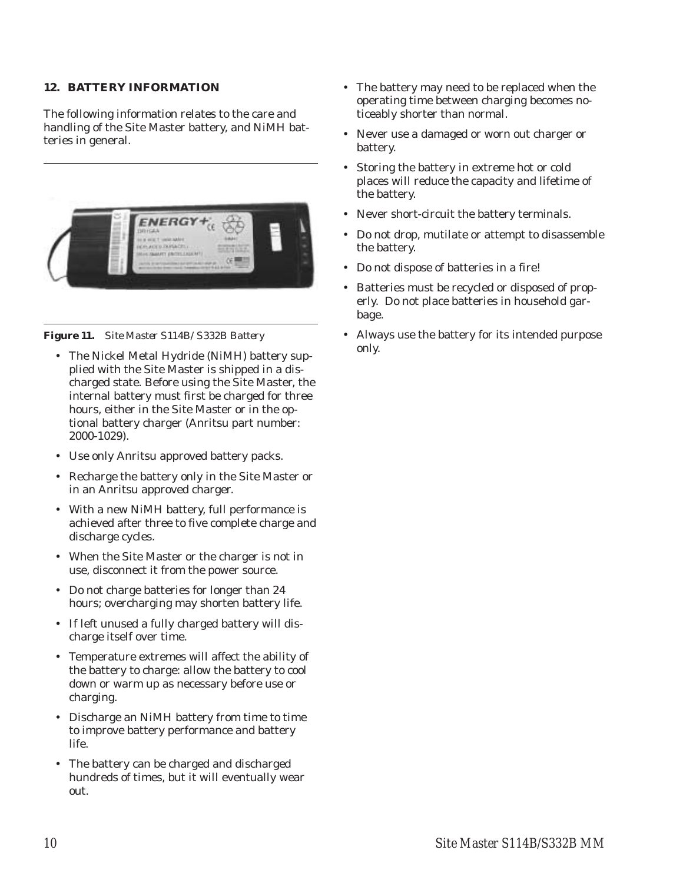## **12. BATTERY INFORMATION**

The following information relates to the care and handling of the Site Master battery, and NiMH batteries in general.



## *Figure 11. Site Master S114B/S332B Battery*

- The Nickel Metal Hydride (NiMH) battery supplied with the Site Master is shipped in a discharged state. Before using the Site Master, the internal battery must first be charged for three hours, either in the Site Master or in the optional battery charger (Anritsu part number: 2000-1029).
- Use only Anritsu approved battery packs.
- Recharge the battery only in the Site Master or in an Anritsu approved charger.
- With a new NiMH battery, full performance is achieved after three to five complete charge and discharge cycles.
- When the Site Master or the charger is not in use, disconnect it from the power source.
- Do not charge batteries for longer than 24 hours; overcharging may shorten battery life.
- If left unused a fully charged battery will discharge itself over time.
- Temperature extremes will affect the ability of the battery to charge: allow the battery to cool down or warm up as necessary before use or charging.
- Discharge an NiMH battery from time to time to improve battery performance and battery life.
- The battery can be charged and discharged hundreds of times, but it will eventually wear out.
- The battery may need to be replaced when the operating time between charging becomes noticeably shorter than normal.
- Never use a damaged or worn out charger or battery.
- Storing the battery in extreme hot or cold places will reduce the capacity and lifetime of the battery.
- Never short-circuit the battery terminals.
- Do not drop, mutilate or attempt to disassemble the battery.
- Do not dispose of batteries in a fire!
- Batteries must be recycled or disposed of properly. Do not place batteries in household garbage.
- Always use the battery for its intended purpose only.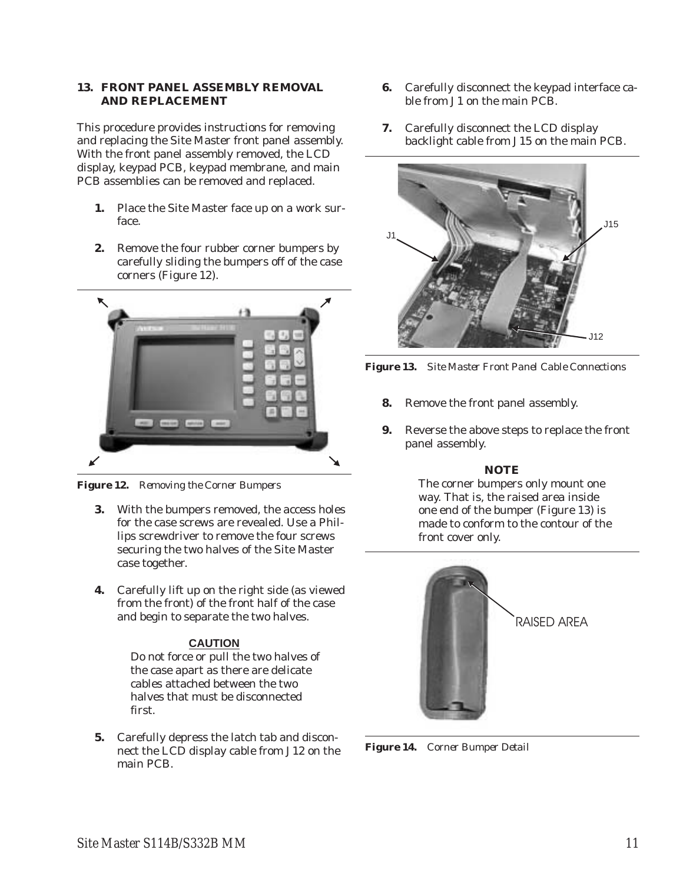## **13. FRONT PANEL ASSEMBLY REMOVAL AND REPLACEMENT**

This procedure provides instructions for removing and replacing the Site Master front panel assembly. With the front panel assembly removed, the LCD display, keypad PCB, keypad membrane, and main PCB assemblies can be removed and replaced.

- **1.** Place the Site Master face up on a work surface.
- **2.** Remove the four rubber corner bumpers by carefully sliding the bumpers off of the case corners (Figure 12).



*Figure 12. Removing the Corner Bumpers*

- **3.** With the bumpers removed, the access holes for the case screws are revealed. Use a Phillips screwdriver to remove the four screws securing the two halves of the Site Master case together.
- **4.** Carefully lift up on the right side (as viewed from the front) of the front half of the case and begin to separate the two halves.

## **CAUTION**

Do not force or pull the two halves of the case apart as there are delicate cables attached between the two halves that must be disconnected first.

**5.** Carefully depress the latch tab and disconnect the LCD display cable from J12 on the main PCB.

- **6.** Carefully disconnect the keypad interface cable from J1 on the main PCB.
- **7.** Carefully disconnect the LCD display backlight cable from J15 on the main PCB.



*Figure 13. Site Master Front Panel Cable Connections*

- **8.** Remove the front panel assembly.
- **9.** Reverse the above steps to replace the front panel assembly.

## *NOTE*

The corner bumpers only mount one way. That is, the raised area inside one end of the bumper (Figure 13) is made to conform to the contour of the front cover only.



RAISED AREA

*Figure 14. Corner Bumper Detail*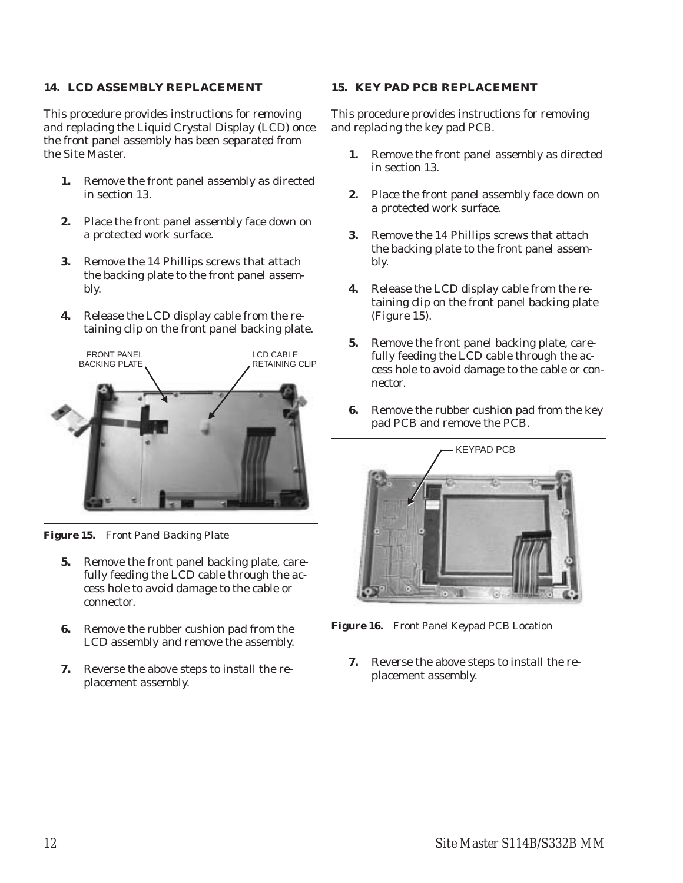## **14. LCD ASSEMBLY REPLACEMENT**

This procedure provides instructions for removing and replacing the Liquid Crystal Display (LCD) once the front panel assembly has been separated from the Site Master.

- **1.** Remove the front panel assembly as directed in section 13.
- **2.** Place the front panel assembly face down on a protected work surface.
- **3.** Remove the 14 Phillips screws that attach the backing plate to the front panel assembly.
- **4.** Release the LCD display cable from the retaining clip on the front panel backing plate.



*Figure 15. Front Panel Backing Plate*

- **5.** Remove the front panel backing plate, carefully feeding the LCD cable through the access hole to avoid damage to the cable or connector.
- **6.** Remove the rubber cushion pad from the LCD assembly and remove the assembly.
- **7.** Reverse the above steps to install the replacement assembly.

## **15. KEY PAD PCB REPLACEMENT**

This procedure provides instructions for removing and replacing the key pad PCB.

- **1.** Remove the front panel assembly as directed in section 13.
- **2.** Place the front panel assembly face down on a protected work surface.
- **3.** Remove the 14 Phillips screws that attach the backing plate to the front panel assembly.
- **4.** Release the LCD display cable from the retaining clip on the front panel backing plate (Figure 15).
- **5.** Remove the front panel backing plate, carefully feeding the LCD cable through the access hole to avoid damage to the cable or connector.
- **6.** Remove the rubber cushion pad from the key pad PCB and remove the PCB.



*Figure 16. Front Panel Keypad PCB Location*

**7.** Reverse the above steps to install the replacement assembly.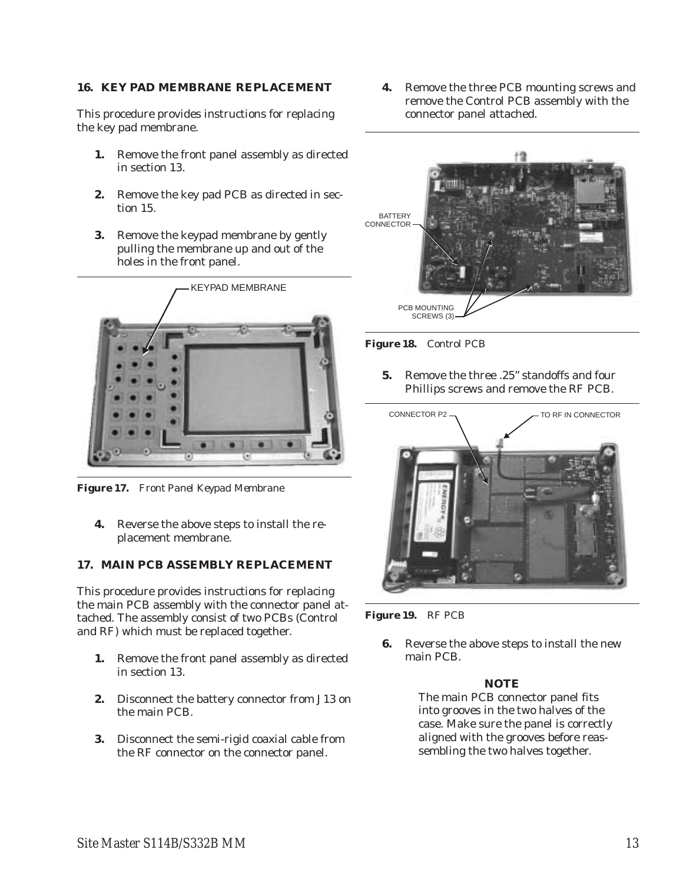## **16. KEY PAD MEMBRANE REPLACEMENT**

This procedure provides instructions for replacing the key pad membrane.

- **1.** Remove the front panel assembly as directed in section 13.
- **2.** Remove the key pad PCB as directed in section 15.
- **3.** Remove the keypad membrane by gently pulling the membrane up and out of the holes in the front panel.



*Figure 17. Front Panel Keypad Membrane*

**4.** Reverse the above steps to install the replacement membrane.

## **17. MAIN PCB ASSEMBLY REPLACEMENT**

This procedure provides instructions for replacing the main PCB assembly with the connector panel attached. The assembly consist of two PCBs (Control and RF) which must be replaced together.

- **1.** Remove the front panel assembly as directed in section 13.
- **2.** Disconnect the battery connector from J13 on the main PCB.
- **3.** Disconnect the semi-rigid coaxial cable from the RF connector on the connector panel.

**4.** Remove the three PCB mounting screws and remove the Control PCB assembly with the connector panel attached.



*Figure 18. Control PCB*

**5.** Remove the three .25" standoffs and four Phillips screws and remove the RF PCB.



*Figure 19. RF PCB*

**6.** Reverse the above steps to install the new main PCB.

## *NOTE*

The main PCB connector panel fits into grooves in the two halves of the case. Make sure the panel is correctly aligned with the grooves before reassembling the two halves together.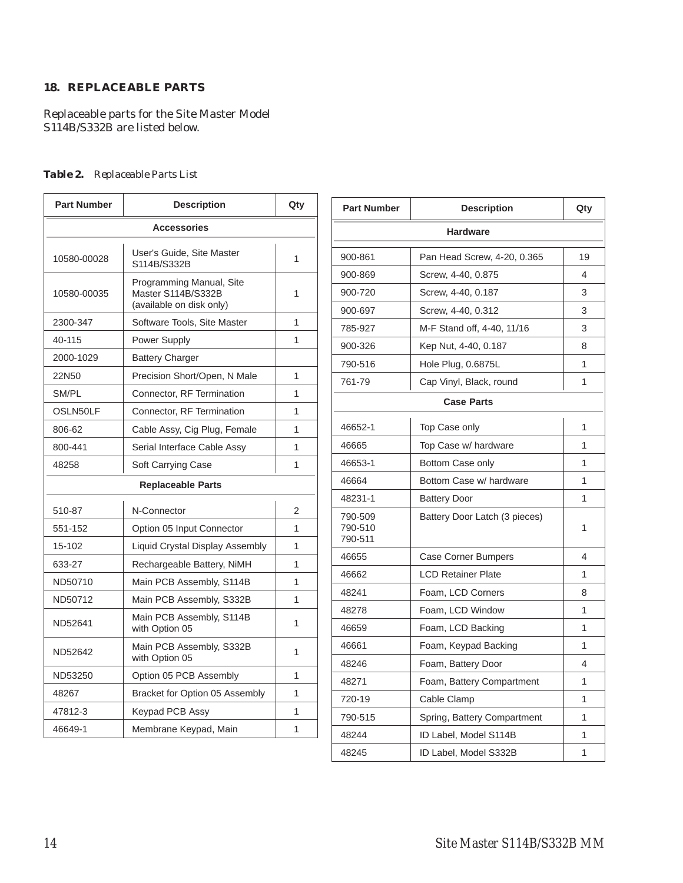## **18. REPLACEABLE PARTS**

Replaceable parts for the Site Master Model S114B/S332B are listed below.

## *Table 2. Replaceable Parts List*

| <b>Part Number</b>                                                                        | <b>Description</b>                         | Qty |  |  |
|-------------------------------------------------------------------------------------------|--------------------------------------------|-----|--|--|
| <b>Accessories</b>                                                                        |                                            |     |  |  |
| 10580-00028                                                                               | User's Guide, Site Master<br>S114B/S332B   | 1   |  |  |
| Programming Manual, Site<br>Master S114B/S332B<br>10580-00035<br>(available on disk only) |                                            | 1   |  |  |
| 2300-347                                                                                  | Software Tools, Site Master                | 1   |  |  |
| 40-115                                                                                    | <b>Power Supply</b>                        | 1   |  |  |
| 2000-1029                                                                                 | <b>Battery Charger</b>                     |     |  |  |
| 22N50                                                                                     | Precision Short/Open, N Male               | 1   |  |  |
| SM/PL                                                                                     | Connector, RF Termination                  | 1   |  |  |
| OSLN50LF                                                                                  | Connector, RF Termination                  | 1   |  |  |
| 806-62                                                                                    | Cable Assy, Cig Plug, Female               | 1   |  |  |
| 800-441                                                                                   | Serial Interface Cable Assy                | 1   |  |  |
| 48258                                                                                     | Soft Carrying Case                         | 1   |  |  |
| <b>Replaceable Parts</b>                                                                  |                                            |     |  |  |
| 510-87                                                                                    | N-Connector                                | 2   |  |  |
| 551-152                                                                                   | Option 05 Input Connector                  | 1   |  |  |
| 15-102                                                                                    | Liquid Crystal Display Assembly            | 1   |  |  |
| 633-27                                                                                    | Rechargeable Battery, NiMH                 | 1   |  |  |
| ND50710                                                                                   | Main PCB Assembly, S114B                   | 1   |  |  |
| ND50712                                                                                   | Main PCB Assembly, S332B                   | 1   |  |  |
| ND52641                                                                                   | Main PCB Assembly, S114B<br>with Option 05 | 1   |  |  |
| ND52642                                                                                   | Main PCB Assembly, S332B<br>with Option 05 | 1   |  |  |
| ND53250                                                                                   | Option 05 PCB Assembly                     | 1   |  |  |
| 48267                                                                                     | Bracket for Option 05 Assembly             | 1   |  |  |
| 47812-3                                                                                   | Keypad PCB Assy                            | 1   |  |  |
| 46649-1                                                                                   | Membrane Keypad, Main                      | 1   |  |  |

| <b>Part Number</b>            | <b>Description</b>            | Qty |  |  |
|-------------------------------|-------------------------------|-----|--|--|
| <b>Hardware</b>               |                               |     |  |  |
| 900-861                       | Pan Head Screw, 4-20, 0.365   | 19  |  |  |
| 900-869                       | Screw, 4-40, 0.875            | 4   |  |  |
| 900-720                       | Screw, 4-40, 0.187            | 3   |  |  |
| 900-697                       | Screw, 4-40, 0.312            | 3   |  |  |
| 785-927                       | M-F Stand off, 4-40, 11/16    | 3   |  |  |
| 900-326                       | Kep Nut, 4-40, 0.187          | 8   |  |  |
| 790-516                       | Hole Plug, 0.6875L            | 1   |  |  |
| 761-79                        | Cap Vinyl, Black, round       | 1   |  |  |
| <b>Case Parts</b>             |                               |     |  |  |
| 46652-1                       | Top Case only                 | 1   |  |  |
| 46665                         | Top Case w/ hardware          | 1   |  |  |
| 46653-1                       | Bottom Case only              | 1   |  |  |
| 46664                         | Bottom Case w/ hardware       | 1   |  |  |
| 48231-1                       | <b>Battery Door</b>           | 1   |  |  |
| 790-509<br>790-510<br>790-511 | Battery Door Latch (3 pieces) | 1   |  |  |
| 46655                         | Case Corner Bumpers           | 4   |  |  |
| 46662                         | <b>LCD Retainer Plate</b>     | 1   |  |  |
| 48241                         | Foam, LCD Corners             | 8   |  |  |
| 48278                         | Foam, LCD Window              | 1   |  |  |
| 46659                         | Foam, LCD Backing             | 1   |  |  |
| 46661                         | Foam, Keypad Backing          | 1   |  |  |
| 48246                         | Foam, Battery Door            | 4   |  |  |
| 48271                         | Foam, Battery Compartment     | 1   |  |  |
| 720-19                        | Cable Clamp                   | 1   |  |  |
| 790-515                       | Spring, Battery Compartment   | 1   |  |  |
| 48244                         | ID Label, Model S114B         | 1   |  |  |
| 48245                         | ID Label, Model S332B         | 1   |  |  |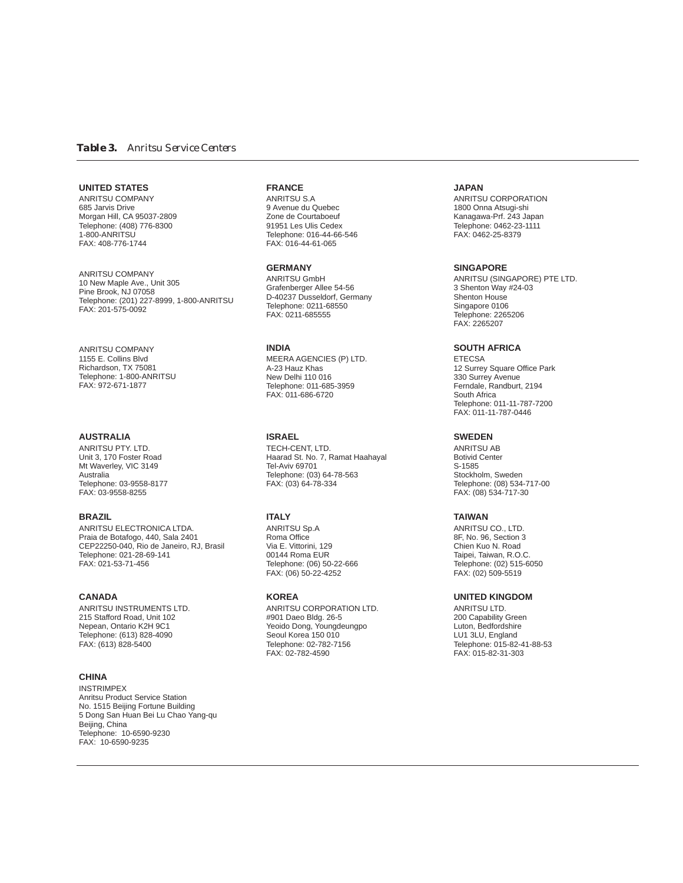### *Table 3. Anritsu Service Centers*

#### **UNITED STATES**

ANRITSU COMPANY 685 Jarvis Drive Morgan Hill, CA 95037-2809 Telephone: (408) 776-8300 1-800-ANRITSU FAX: 408-776-1744

ANRITSU COMPANY 10 New Maple Ave., Unit 305 Pine Brook, NJ 07058 Telephone: (201) 227-8999, 1-800-ANRITSU FAX: 201-575-0092

ANRITSU COMPANY 1155 E. Collins Blvd Richardson, TX 75081 Telephone: 1-800-ANRITSU FAX: 972-671-1877

### **AUSTRALIA**

ANRITSU PTY. LTD. Unit 3, 170 Foster Road Mt Waverley, VIC 3149 Australia Telephone: 03-9558-8177 FAX: 03-9558-8255

#### **BRAZIL**

ANRITSU ELECTRONICA LTDA. Praia de Botafogo, 440, Sala 2401 CEP22250-040, Rio de Janeiro, RJ, Brasil Telephone: 021-28-69-141 FAX: 021-53-71-456

#### **CANADA**

ANRITSU INSTRUMENTS LTD. 215 Stafford Road, Unit 102 Nepean, Ontario K2H 9C1 Telephone: (613) 828-4090 FAX: (613) 828-5400

### **CHINA**

INSTRIMPEX Anritsu Product Service Station No. 1515 Beijing Fortune Building 5 Dong San Huan Bei Lu Chao Yang-qu Beijing, China Telephone: 10-6590-9230 FAX: 10-6590-9235

### **FRANCE**

ANRITSU S.A 9 Avenue du Quebec Zone de Courtaboeuf 91951 Les Ulis Cedex Telephone: 016-44-66-546 FAX: 016-44-61-065

**GERMANY** ANRITSU GmbH Grafenberger Allee 54-56 D-40237 Dusseldorf, Germany Telephone: 0211-68550 FAX: 0211-685555

**INDIA**

MEERA AGENCIES (P) LTD. A-23 Hauz Khas New Delhi 110 016 Telephone: 011-685-3959 FAX: 011-686-6720

**ISRAEL**

TECH-CENT, LTD. Haarad St. No. 7, Ramat Haahayal Tel-Aviv 69701 Telephone: (03) 64-78-563 FAX: (03) 64-78-334

#### **ITALY**

ANRITSU Sp.A Roma Office Via E. Vittorini, 129 00144 Roma EUR Telephone: (06) 50-22-666 FAX: (06) 50-22-4252

### **KOREA**

ANRITSU CORPORATION LTD. #901 Daeo Bldg. 26-5 Yeoido Dong, Youngdeungpo Seoul Korea 150 010 Telephone: 02-782-7156 FAX: 02-782-4590

#### **JAPAN**

ANRITSU CORPORATION 1800 Onna Atsugi-shi Kanagawa-Prf. 243 Japan Telephone: 0462-23-1111 FAX: 0462-25-8379

#### **SINGAPORE**

ANRITSU (SINGAPORE) PTE LTD. 3 Shenton Way #24-03 Shenton House Singapore 0106 Telephone: 2265206 FAX: 2265207

### **SOUTH AFRICA**

**ETECSA** 12 Surrey Square Office Park 330 Surrey Avenue Ferndale, Randburt, 2194 South Africa Telephone: 011-11-787-7200 FAX: 011-11-787-0446

### **SWEDEN**

ANRITSU AB Botivid Center S-1585 Stockholm, Sweden Telephone: (08) 534-717-00 FAX: (08) 534-717-30

#### **TAIWAN**

ANRITSU CO., LTD. 8F, No. 96, Section 3 Chien Kuo N. Road Taipei, Taiwan, R.O.C. Telephone: (02) 515-6050 FAX: (02) 509-5519

#### **UNITED KINGDOM**

ANRITSU LTD. 200 Capability Green Luton, Bedfordshire LU1 3LU, England Telephone: 015-82-41-88-53 FAX: 015-82-31-303